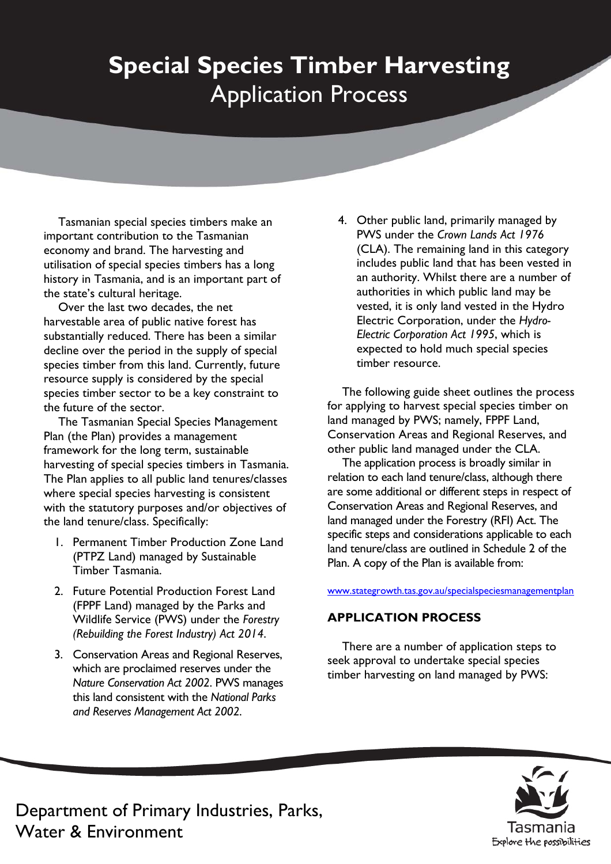# **Special Species Timber Harvesting**  Application Process

Tasmanian special species timbers make an important contribution to the Tasmanian economy and brand. The harvesting and utilisation of special species timbers has a long history in Tasmania, and is an important part of the state's cultural heritage.

Over the last two decades, the net harvestable area of public native forest has substantially reduced. There has been a similar decline over the period in the supply of special species timber from this land. Currently, future resource supply is considered by the special species timber sector to be a key constraint to the future of the sector.

The Tasmanian Special Species Management Plan (the Plan) provides a management framework for the long term, sustainable harvesting of special species timbers in Tasmania. The Plan applies to all public land tenures/classes where special species harvesting is consistent with the statutory purposes and/or objectives of the land tenure/class. Specifically:

- 1. Permanent Timber Production Zone Land (PTPZ Land) managed by Sustainable Timber Tasmania.
- 2. Future Potential Production Forest Land (FPPF Land) managed by the Parks and Wildlife Service (PWS) under the *Forestry (Rebuilding the Forest Industry) Act 2014*.
- 3. Conservation Areas and Regional Reserves, which are proclaimed reserves under the *Nature Conservation Act 2002*. PWS manages this land consistent with the *National Parks and Reserves Management Act 2002*.

4. Other public land, primarily managed by PWS under the *Crown Lands Act 1976*  (CLA). The remaining land in this category includes public land that has been vested in an authority. Whilst there are a number of authorities in which public land may be vested, it is only land vested in the Hydro Electric Corporation, under the *Hydro-Electric Corporation Act 1995*, which is expected to hold much special species timber resource.

The following guide sheet outlines the process for applying to harvest special species timber on land managed by PWS; namely, FPPF Land, Conservation Areas and Regional Reserves, and other public land managed under the CLA.

The application process is broadly similar in relation to each land tenure/class, although there are some additional or different steps in respect of Conservation Areas and Regional Reserves, and land managed under the Forestry (RFI) Act. The specific steps and considerations applicable to each land tenure/class are outlined in Schedule 2 of the Plan. A copy of the Plan is available from:

www.stategrowth.tas.gov.au/specialspeciesmanagementplan

### **APPLICATION PROCESS**

There are a number of application steps to seek approval to undertake special species timber harvesting on land managed by PWS:



Department of Primary Industries, Parks, Water & Environment